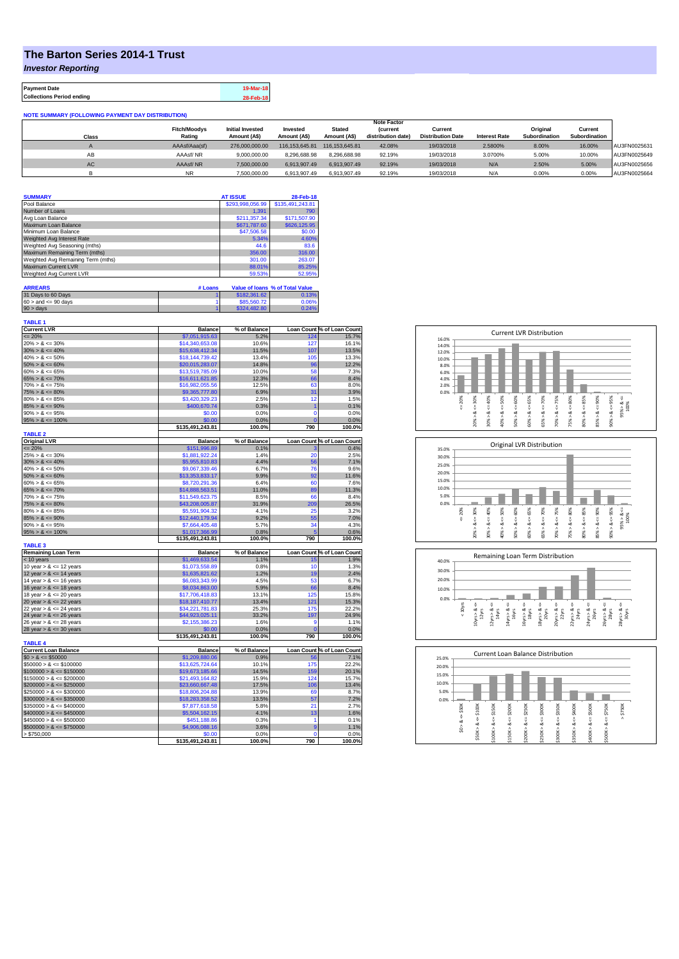## **The Barton Series 2014-1 Trust**

*Investor Reporting*

**TABLE 1**

**Payment Date 19-Mar-18 Collections Period ending 28-Feb-18**

## **NOTE SUMMARY (FOLLOWING PAYMENT DAY DISTRIBUTION)**

|           |                     |                         |                |                | <b>Note Factor</b> |                          |                      |                      |               |              |
|-----------|---------------------|-------------------------|----------------|----------------|--------------------|--------------------------|----------------------|----------------------|---------------|--------------|
|           | <b>Fitch/Moodys</b> | <b>Initial Invested</b> | Invested       | <b>Stated</b>  | <b>Current</b>     | Current                  |                      | Original             | Current       |              |
| Class     | Rating              | Amount (A\$)            | Amount (A\$)   | Amount (A\$)   | distribution date) | <b>Distribution Date</b> | <b>Interest Rate</b> | <b>Subordination</b> | Subordination |              |
|           | AAAsf/Aaa(sf)       | 276,000,000,00          | 116.153.645.81 | 116.153.645.81 | 42.08%             | 19/03/2018               | 2.5800%              | 8.00%                | 16.00%        | AU3FN0025631 |
| AВ        | AAAsf/NR            | 9,000,000.00            | 8.296.688.98   | 8.296.688.98   | 92.19%             | 19/03/2018               | 3.0700%              | 5.00%                | 10.00%        | AU3FN0025649 |
| <b>AC</b> | AAAsf/NR            | 7.500.000.00            | 6.913.907.49   | 6.913.907.49   | 92.19%             | 19/03/2018               | N/A                  | 2.50%                | 5.00%         | AU3FN0025656 |
|           | <b>NR</b>           | 7.500.000.00            | 6.913.907.49   | 6.913.907.49   | 92.19%             | 19/03/2018               | N/A                  | 0.00%                | 0.00%         | AU3FN0025664 |

| <b>SUMMARY</b>                     | <b>AT ISSUE</b>  | 28-Feb-18        |
|------------------------------------|------------------|------------------|
| Pool Balance                       | \$293,998,056.99 | \$135,491,243.81 |
| Number of Loans                    | 1.391            | 790              |
| Avg Loan Balance                   | \$211,357.34     | \$171,507.90     |
| Maximum Loan Balance               | \$671,787.60     | \$626,125.95     |
| Minimum Loan Balance               | \$47,506.58      | \$0.00           |
| Weighted Avg Interest Rate         | 5.34%            | 4.60%            |
| Weighted Avg Seasoning (mths)      | 44.6             | 83.6             |
| Maximum Remaining Term (mths)      | 356.00           | 316.00           |
| Weighted Avg Remaining Term (mths) | 301.00           | 263.07           |
| Maximum Current LVR                | 88.01%           | 85.25%           |
| Weighted Avg Current LVR           | 59.53%           | 52.95%           |

| <b>ARREARS</b>            | # Loans |              | Value of Ioans % of Total Value |
|---------------------------|---------|--------------|---------------------------------|
| 31 Days to 60 Days        |         | \$182,361.62 | 0.13%                           |
| $60 >$ and $\leq 90$ days |         | \$85,560.72  | 0.06%                           |
| $90 >$ days               |         | \$324,482.80 | 0.24%                           |

| <b>Current LVR</b>                                | <b>Balance</b>                    | % of Balance   |                 | Loan Count % of Loan Count                                                                                                                                                                             |
|---------------------------------------------------|-----------------------------------|----------------|-----------------|--------------------------------------------------------------------------------------------------------------------------------------------------------------------------------------------------------|
| $= 20%$                                           | \$7,051,915.63                    | 5.2%           | 124             | 15.7%                                                                                                                                                                                                  |
| $20\% > 8 \le 30\%$                               | \$14,340,653.08                   | 10.6%          | 127             | 16.1%                                                                                                                                                                                                  |
| $30\% > 8 \le 40\%$                               | \$15,638,412.34                   | 11.5%          | 107             | 13.5%                                                                                                                                                                                                  |
| $40\% > 8 \le 50\%$                               | \$18.144.739.42                   | 13.4%          | 105             | 13.3%                                                                                                                                                                                                  |
| $50\% > 8 \le 60\%$                               | \$20,015,283.07                   | 14.8%          | 96              | 12.2%                                                                                                                                                                                                  |
| $60\% > 8 \le 65\%$                               | \$13,519,785.09                   | 10.0%          | 58              | 7.3%                                                                                                                                                                                                   |
| $65\% > 8 \le 70\%$                               | \$16,611,621.85                   | 12.3%          | 66              | 8.4%                                                                                                                                                                                                   |
| $70\% > 8 \le 75\%$                               | \$16,982,055.56                   | 12.5%          | 63              | 8.0%                                                                                                                                                                                                   |
| $75\% > 8 \le 80\%$                               | \$9,365,777.80                    | 6.9%           | 31              | 3.9%                                                                                                                                                                                                   |
| $80\% > 8 \le 85\%$                               | \$3,420,329.23                    | 2.5%           | 12              | 1.5%                                                                                                                                                                                                   |
| $85\% > 8 \le 90\%$                               | \$400,670.74                      | 0.3%           | 1               | 0.1%                                                                                                                                                                                                   |
| $90\% > 8 \le 95\%$                               | \$0.00                            | 0.0%           | $\Omega$        | 0.0%                                                                                                                                                                                                   |
| $95\% > 8 \le 100\%$                              | \$0.00                            | 0.0%           | n               | 0.0%                                                                                                                                                                                                   |
|                                                   | \$135,491,243.81                  | 100.0%         | 790             | 100.0%                                                                                                                                                                                                 |
| <b>TABLE 2</b>                                    |                                   |                |                 |                                                                                                                                                                                                        |
| <b>Original LVR</b>                               | <b>Balance</b>                    | % of Balance   |                 | Loan Count % of Loan Count                                                                                                                                                                             |
| $= 20%$                                           | \$151,996.89                      | 0.1%           |                 | 0.4%                                                                                                                                                                                                   |
| $25\% > 8 \le 30\%$                               | \$1,881,922.24                    | 1.4%           | 20              | 2.5%                                                                                                                                                                                                   |
| $30\% > 8 \le 40\%$                               | \$5,955,810.83                    | 4.4%           | 56              | 7.1%                                                                                                                                                                                                   |
| $40\% > 8 \le 50\%$                               | \$9.067.339.46                    | 6.7%           | 76              | 9.6%                                                                                                                                                                                                   |
| $50\% > 8 \le 60\%$                               | \$13,353,833.17                   | 9.9%           | 92              | 11.6%                                                                                                                                                                                                  |
| $60\% > 8 \le 65\%$                               | \$8,720,291.36                    | 6.4%           | 60              | 7.6%                                                                                                                                                                                                   |
| $65\% > 8 \le 70\%$                               | \$14,888,563.51                   | 11.0%          | 89              | 11.3%                                                                                                                                                                                                  |
| $70\% > 8 \le 75\%$                               | \$11,549,623.75                   | 8.5%           | 66              | 8.4%                                                                                                                                                                                                   |
| $75\% > 8 \le 80\%$                               | \$43,208,005.87                   | 31.9%          | 209             | 26.5%                                                                                                                                                                                                  |
| $80\% > 8 \le 85\%$                               | \$5,591,904.32                    | 4.1%           | 25              | 3.2%                                                                                                                                                                                                   |
| $85\% > 8 \le 90\%$                               | \$12,440,179.94                   | 9.2%           | 55              | 7.0%                                                                                                                                                                                                   |
| $90\% > 8 \le 95\%$                               | \$7,664,405.48                    | 5.7%           | 34              | 4.3%                                                                                                                                                                                                   |
| $95\% > 8 \le 100\%$                              | \$1,017,366.99                    | 0.8%           |                 | 0.6%                                                                                                                                                                                                   |
|                                                   | \$135,491,243.81                  | 100.0%         | 790             | 100.0%                                                                                                                                                                                                 |
| <b>TABLE 3</b>                                    |                                   |                |                 |                                                                                                                                                                                                        |
| <b>Remaining Loan Term</b>                        | <b>Balance</b>                    | % of Balance   |                 | Loan Count % of Loan Count                                                                                                                                                                             |
| < 10 years                                        | \$1,469,633.54                    | 1.1%           | 15              | 1.9%                                                                                                                                                                                                   |
| 10 year $> 8 \le 12$ years                        | \$1,073,558.89                    | 0.8%           | 10              | 1.3%                                                                                                                                                                                                   |
| 12 year $> 8 \le 14$ years                        | \$1,635,821.62                    | 1.2%           | 19              | 2.4%                                                                                                                                                                                                   |
| 14 year $> 8 \le 16$ years                        | \$6,083,343.99                    | 4.5%           | 53              | 6.7%                                                                                                                                                                                                   |
| 16 year $> 8 \le 18$ years                        | \$8,034,863.00                    | 5.9%           | 66              | 8.4%                                                                                                                                                                                                   |
| 18 year $> 8 \le 20$ years                        | \$17,706,418.83                   | 13.1%          |                 |                                                                                                                                                                                                        |
| 20 year $> 8 \le 22$ years                        |                                   |                | 125             |                                                                                                                                                                                                        |
|                                                   | \$18,187,410.77                   | 13.4%          | 121             |                                                                                                                                                                                                        |
| 22 year $> 8 \le 24$ years                        | \$34,221,781.83                   | 25.3%          | 175             |                                                                                                                                                                                                        |
| 24 year $> 8 \le 26$ years                        | \$44,923,025.11                   | 33.2%          | 197             |                                                                                                                                                                                                        |
| 26 year $> 8 \le 28$ years                        | \$2,155,386.23                    | 1.6%           | g               |                                                                                                                                                                                                        |
| 28 year $> 8 \le 30$ years                        | \$0.00                            | 0.0%           | $\Omega$        |                                                                                                                                                                                                        |
|                                                   | \$135,491,243.81                  | 100.0%         | 790             |                                                                                                                                                                                                        |
| <b>TABLE 4</b>                                    |                                   |                |                 |                                                                                                                                                                                                        |
| <b>Current Loan Balance</b>                       | <b>Balance</b>                    | % of Balance   |                 |                                                                                                                                                                                                        |
| $$0 > 8 \leq $50000$<br>$$50000 > 8 \leq $100000$ | \$1,209,880.06<br>\$13,625,724,64 | 0.9%<br>10.1%  | 56<br>175       |                                                                                                                                                                                                        |
|                                                   |                                   |                |                 |                                                                                                                                                                                                        |
| $$100000 > 8 \le $150000$                         | \$19,673,185.66                   | 14.5%          | 159             |                                                                                                                                                                                                        |
| $$150000 > 8 \leq $200000$                        | \$21.493.164.82                   | 15.9%          | 124             |                                                                                                                                                                                                        |
| $$200000 > 8 \leq $250000$                        | \$23,660,667.48                   | 17.5%          | 106             |                                                                                                                                                                                                        |
| $$250000 > 8 \le $300000$                         | \$18,806,204.88                   | 13.9%          | 69              |                                                                                                                                                                                                        |
| $$300000 > 8 \leq $350000$                        | \$18,283,358.52                   | 13.5%          | 57              |                                                                                                                                                                                                        |
| $$350000 > 8 \le $400000$                         | \$7,877,618.58                    | 5.8%           | 21              |                                                                                                                                                                                                        |
| $$400000 > 8 \le $450000$                         | \$5,504,162.15                    | 4.1%           | 13              |                                                                                                                                                                                                        |
| $$450000 > 8 \le $500000$                         | \$451,188.86                      | 0.3%           | 1               |                                                                                                                                                                                                        |
| $$500000 > 8 \le $750000$                         | \$4,906,088.16                    | 3.6%           | 9               |                                                                                                                                                                                                        |
| > \$750,000                                       | \$0.00<br>\$135,491,243.81        | 0.0%<br>100.0% | $\Omega$<br>790 | 15.8%<br>15.3%<br>22.2%<br>24.9%<br>1.1%<br>0.0%<br>100.0%<br>Loan Count % of Loan Count<br>7.1%<br>22.2%<br>20.1%<br>15.7%<br>13.4%<br>8.7%<br>7.2%<br>2.7%<br>1.6%<br>0.1%<br>1.1%<br>0.0%<br>100.0% |







| 25.0%                      |                           |                                 | <b>Current Loan Balance Distribution</b>                                |                             |                            |                            |                       |                             |             |
|----------------------------|---------------------------|---------------------------------|-------------------------------------------------------------------------|-----------------------------|----------------------------|----------------------------|-----------------------|-----------------------------|-------------|
| 20.0%                      |                           |                                 |                                                                         |                             |                            |                            |                       |                             |             |
| 15.0%                      |                           |                                 |                                                                         |                             |                            |                            |                       |                             |             |
| 10.0%                      |                           |                                 |                                                                         |                             |                            |                            |                       |                             |             |
| 5.0%                       |                           |                                 |                                                                         |                             |                            |                            |                       |                             |             |
| 0.0%                       |                           |                                 |                                                                         |                             |                            |                            |                       |                             |             |
| \$50K<br>V<br>త<br>Λ<br>S. | \$100K<br>ಯ<br>٨<br>\$50K | \$150K<br>ű<br>œ<br>Λ<br>\$100K | \$200K<br>\$250K<br>V<br>п<br>ÿ<br>∞<br>œ<br>٨<br>۸<br>\$200K<br>\$150K | \$300K<br>ű<br>∞<br>\$250K> | \$350K<br>œ<br>Λ<br>\$300K | $4 = $400K$<br>∞<br>\$350K | \$500K<br>œ<br>\$400K | \$750K<br>V<br>∞<br>\$500K> | \$750K<br>٨ |